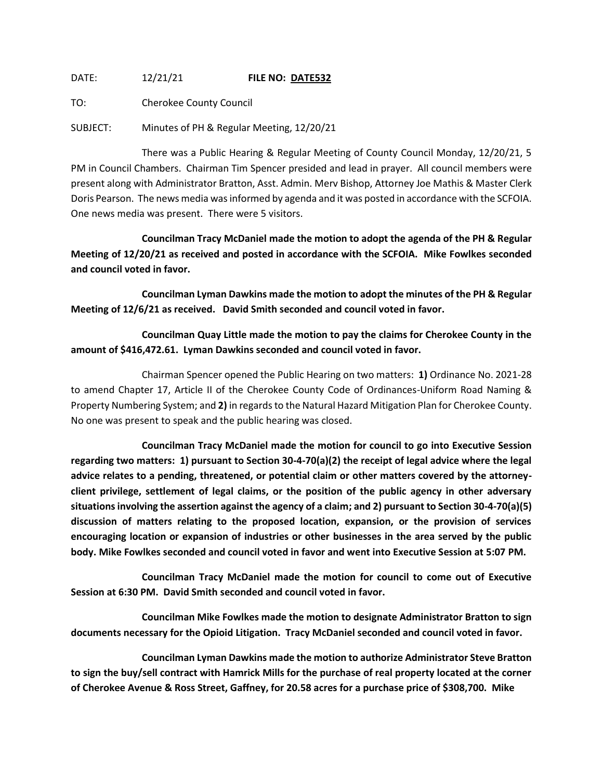## DATE: 12/21/21 **FILE NO: DATE532**

TO: Cherokee County Council

SUBJECT: Minutes of PH & Regular Meeting, 12/20/21

There was a Public Hearing & Regular Meeting of County Council Monday, 12/20/21, 5 PM in Council Chambers. Chairman Tim Spencer presided and lead in prayer. All council members were present along with Administrator Bratton, Asst. Admin. Merv Bishop, Attorney Joe Mathis & Master Clerk Doris Pearson. The news media was informed by agenda and it was posted in accordance with the SCFOIA. One news media was present. There were 5 visitors.

**Councilman Tracy McDaniel made the motion to adopt the agenda of the PH & Regular Meeting of 12/20/21 as received and posted in accordance with the SCFOIA. Mike Fowlkes seconded and council voted in favor.**

**Councilman Lyman Dawkins made the motion to adopt the minutes of the PH & Regular Meeting of 12/6/21 as received. David Smith seconded and council voted in favor.**

**Councilman Quay Little made the motion to pay the claims for Cherokee County in the amount of \$416,472.61. Lyman Dawkins seconded and council voted in favor.**

Chairman Spencer opened the Public Hearing on two matters: **1)** Ordinance No. 2021-28 to amend Chapter 17, Article II of the Cherokee County Code of Ordinances-Uniform Road Naming & Property Numbering System; and **2)** in regards to the Natural Hazard Mitigation Plan for Cherokee County. No one was present to speak and the public hearing was closed.

**Councilman Tracy McDaniel made the motion for council to go into Executive Session regarding two matters: 1) pursuant to Section 30-4-70(a)(2) the receipt of legal advice where the legal advice relates to a pending, threatened, or potential claim or other matters covered by the attorneyclient privilege, settlement of legal claims, or the position of the public agency in other adversary situations involving the assertion against the agency of a claim; and 2) pursuant to Section 30-4-70(a)(5) discussion of matters relating to the proposed location, expansion, or the provision of services encouraging location or expansion of industries or other businesses in the area served by the public body. Mike Fowlkes seconded and council voted in favor and went into Executive Session at 5:07 PM.**

**Councilman Tracy McDaniel made the motion for council to come out of Executive Session at 6:30 PM. David Smith seconded and council voted in favor.**

**Councilman Mike Fowlkes made the motion to designate Administrator Bratton to sign documents necessary for the Opioid Litigation. Tracy McDaniel seconded and council voted in favor.**

**Councilman Lyman Dawkins made the motion to authorize Administrator Steve Bratton to sign the buy/sell contract with Hamrick Mills for the purchase of real property located at the corner of Cherokee Avenue & Ross Street, Gaffney, for 20.58 acres for a purchase price of \$308,700. Mike**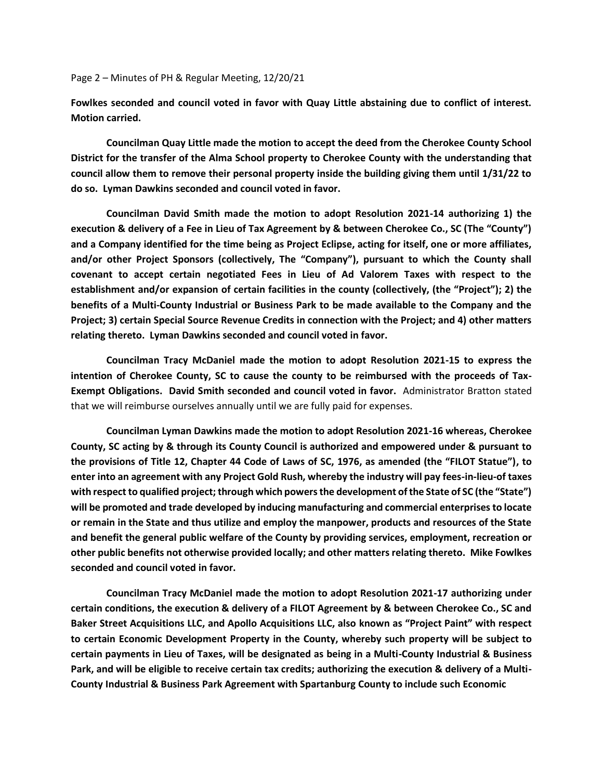Page 2 – Minutes of PH & Regular Meeting, 12/20/21

**Fowlkes seconded and council voted in favor with Quay Little abstaining due to conflict of interest. Motion carried.**

**Councilman Quay Little made the motion to accept the deed from the Cherokee County School District for the transfer of the Alma School property to Cherokee County with the understanding that council allow them to remove their personal property inside the building giving them until 1/31/22 to do so. Lyman Dawkins seconded and council voted in favor.**

**Councilman David Smith made the motion to adopt Resolution 2021-14 authorizing 1) the execution & delivery of a Fee in Lieu of Tax Agreement by & between Cherokee Co., SC (The "County") and a Company identified for the time being as Project Eclipse, acting for itself, one or more affiliates, and/or other Project Sponsors (collectively, The "Company"), pursuant to which the County shall covenant to accept certain negotiated Fees in Lieu of Ad Valorem Taxes with respect to the establishment and/or expansion of certain facilities in the county (collectively, (the "Project"); 2) the benefits of a Multi-County Industrial or Business Park to be made available to the Company and the Project; 3) certain Special Source Revenue Credits in connection with the Project; and 4) other matters relating thereto. Lyman Dawkins seconded and council voted in favor.**

**Councilman Tracy McDaniel made the motion to adopt Resolution 2021-15 to express the intention of Cherokee County, SC to cause the county to be reimbursed with the proceeds of Tax-Exempt Obligations. David Smith seconded and council voted in favor.** Administrator Bratton stated that we will reimburse ourselves annually until we are fully paid for expenses.

**Councilman Lyman Dawkins made the motion to adopt Resolution 2021-16 whereas, Cherokee County, SC acting by & through its County Council is authorized and empowered under & pursuant to the provisions of Title 12, Chapter 44 Code of Laws of SC, 1976, as amended (the "FILOT Statue"), to enter into an agreement with any Project Gold Rush, whereby the industry will pay fees-in-lieu-of taxes with respect to qualified project; through which powers the development of the State of SC (the "State") will be promoted and trade developed by inducing manufacturing and commercial enterprises to locate or remain in the State and thus utilize and employ the manpower, products and resources of the State and benefit the general public welfare of the County by providing services, employment, recreation or other public benefits not otherwise provided locally; and other matters relating thereto. Mike Fowlkes seconded and council voted in favor.**

**Councilman Tracy McDaniel made the motion to adopt Resolution 2021-17 authorizing under certain conditions, the execution & delivery of a FILOT Agreement by & between Cherokee Co., SC and Baker Street Acquisitions LLC, and Apollo Acquisitions LLC, also known as "Project Paint" with respect to certain Economic Development Property in the County, whereby such property will be subject to certain payments in Lieu of Taxes, will be designated as being in a Multi-County Industrial & Business Park, and will be eligible to receive certain tax credits; authorizing the execution & delivery of a Multi-County Industrial & Business Park Agreement with Spartanburg County to include such Economic**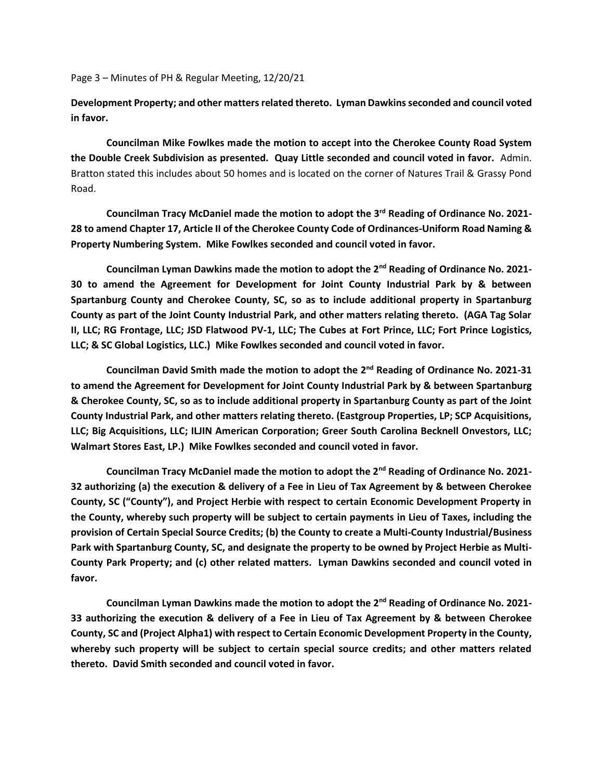Page 3 – Minutes of PH & Regular Meeting, 12/20/21

**Development Property; and other matters related thereto. Lyman Dawkins seconded and council voted in favor.**

**Councilman Mike Fowlkes made the motion to accept into the Cherokee County Road System the Double Creek Subdivision as presented. Quay Little seconded and council voted in favor.** Admin. Bratton stated this includes about 50 homes and is located on the corner of Natures Trail & Grassy Pond Road.

**Councilman Tracy McDaniel made the motion to adopt the 3rd Reading of Ordinance No. 2021- 28 to amend Chapter 17, Article II of the Cherokee County Code of Ordinances-Uniform Road Naming & Property Numbering System. Mike Fowlkes seconded and council voted in favor.**

**Councilman Lyman Dawkins made the motion to adopt the 2nd Reading of Ordinance No. 2021- 30 to amend the Agreement for Development for Joint County Industrial Park by & between Spartanburg County and Cherokee County, SC, so as to include additional property in Spartanburg County as part of the Joint County Industrial Park, and other matters relating thereto. (AGA Tag Solar II, LLC; RG Frontage, LLC; JSD Flatwood PV-1, LLC; The Cubes at Fort Prince, LLC; Fort Prince Logistics, LLC; & SC Global Logistics, LLC.) Mike Fowlkes seconded and council voted in favor.**

**Councilman David Smith made the motion to adopt the 2nd Reading of Ordinance No. 2021-31 to amend the Agreement for Development for Joint County Industrial Park by & between Spartanburg & Cherokee County, SC, so as to include additional property in Spartanburg County as part of the Joint County Industrial Park, and other matters relating thereto. (Eastgroup Properties, LP; SCP Acquisitions, LLC; Big Acquisitions, LLC; ILJIN American Corporation; Greer South Carolina Becknell Onvestors, LLC; Walmart Stores East, LP.) Mike Fowlkes seconded and council voted in favor.**

**Councilman Tracy McDaniel made the motion to adopt the 2nd Reading of Ordinance No. 2021- 32 authorizing (a) the execution & delivery of a Fee in Lieu of Tax Agreement by & between Cherokee County, SC ("County"), and Project Herbie with respect to certain Economic Development Property in the County, whereby such property will be subject to certain payments in Lieu of Taxes, including the provision of Certain Special Source Credits; (b) the County to create a Multi-County Industrial/Business Park with Spartanburg County, SC, and designate the property to be owned by Project Herbie as Multi-County Park Property; and (c) other related matters. Lyman Dawkins seconded and council voted in favor.**

**Councilman Lyman Dawkins made the motion to adopt the 2nd Reading of Ordinance No. 2021- 33 authorizing the execution & delivery of a Fee in Lieu of Tax Agreement by & between Cherokee County, SC and (Project Alpha1) with respect to Certain Economic Development Property in the County, whereby such property will be subject to certain special source credits; and other matters related thereto. David Smith seconded and council voted in favor.**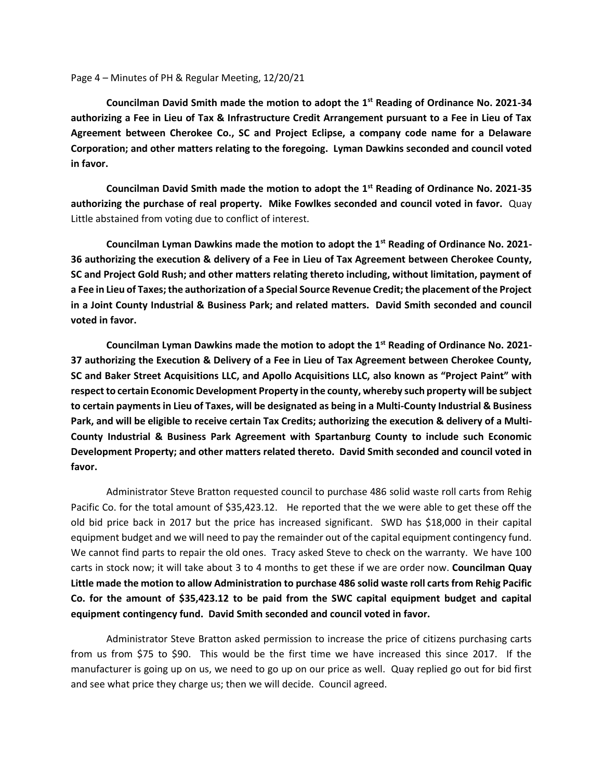Page 4 – Minutes of PH & Regular Meeting, 12/20/21

**Councilman David Smith made the motion to adopt the 1st Reading of Ordinance No. 2021-34 authorizing a Fee in Lieu of Tax & Infrastructure Credit Arrangement pursuant to a Fee in Lieu of Tax Agreement between Cherokee Co., SC and Project Eclipse, a company code name for a Delaware Corporation; and other matters relating to the foregoing. Lyman Dawkins seconded and council voted in favor.**

**Councilman David Smith made the motion to adopt the 1st Reading of Ordinance No. 2021-35 authorizing the purchase of real property. Mike Fowlkes seconded and council voted in favor.** Quay Little abstained from voting due to conflict of interest.

**Councilman Lyman Dawkins made the motion to adopt the 1st Reading of Ordinance No. 2021- 36 authorizing the execution & delivery of a Fee in Lieu of Tax Agreement between Cherokee County, SC and Project Gold Rush; and other matters relating thereto including, without limitation, payment of a Fee in Lieu of Taxes; the authorization of a Special Source Revenue Credit; the placement of the Project in a Joint County Industrial & Business Park; and related matters. David Smith seconded and council voted in favor.**

**Councilman Lyman Dawkins made the motion to adopt the 1st Reading of Ordinance No. 2021- 37 authorizing the Execution & Delivery of a Fee in Lieu of Tax Agreement between Cherokee County, SC and Baker Street Acquisitions LLC, and Apollo Acquisitions LLC, also known as "Project Paint" with respect to certain Economic Development Property in the county, whereby such property will be subject to certain payments in Lieu of Taxes, will be designated as being in a Multi-County Industrial & Business Park, and will be eligible to receive certain Tax Credits; authorizing the execution & delivery of a Multi-County Industrial & Business Park Agreement with Spartanburg County to include such Economic Development Property; and other matters related thereto. David Smith seconded and council voted in favor.**

Administrator Steve Bratton requested council to purchase 486 solid waste roll carts from Rehig Pacific Co. for the total amount of \$35,423.12. He reported that the we were able to get these off the old bid price back in 2017 but the price has increased significant. SWD has \$18,000 in their capital equipment budget and we will need to pay the remainder out of the capital equipment contingency fund. We cannot find parts to repair the old ones. Tracy asked Steve to check on the warranty. We have 100 carts in stock now; it will take about 3 to 4 months to get these if we are order now. **Councilman Quay Little made the motion to allow Administration to purchase 486 solid waste roll carts from Rehig Pacific Co. for the amount of \$35,423.12 to be paid from the SWC capital equipment budget and capital equipment contingency fund. David Smith seconded and council voted in favor.**

Administrator Steve Bratton asked permission to increase the price of citizens purchasing carts from us from \$75 to \$90. This would be the first time we have increased this since 2017. If the manufacturer is going up on us, we need to go up on our price as well. Quay replied go out for bid first and see what price they charge us; then we will decide. Council agreed.